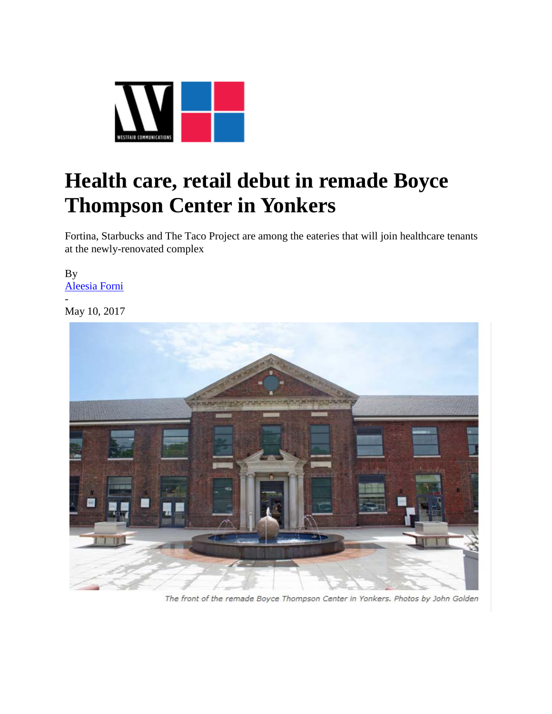

## **Health care, retail debut in remade Boyce Thompson Center in Yonkers**

Fortina, Starbucks and The Taco Project are among the eateries that will join healthcare tenants at the newly-renovated complex

By [Aleesia Forni](https://westfaironline.com/author/aleesia-j-forni/) - May 10, 2017



The front of the remade Boyce Thompson Center in Yonkers. Photos by John Golden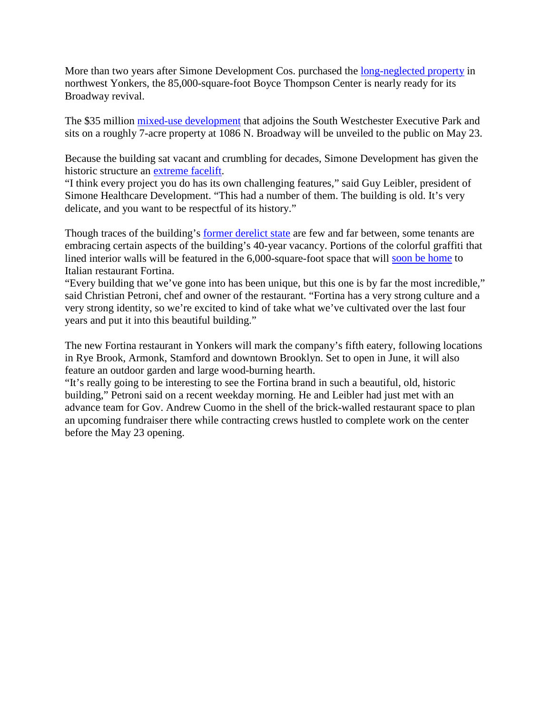More than two years after Simone Development Cos. purchased the [long-neglected property](https://westfaironline.com/69831/simone-development-plans-35m-redevelopment-in-yonkers/) in northwest Yonkers, the 85,000-square-foot Boyce Thompson Center is nearly ready for its Broadway revival.

The \$35 million [mixed-use development](http://www.simdev.com/commercial-boyce-thompson-center.html) that adjoins the South Westchester Executive Park and sits on a roughly 7-acre property at 1086 N. Broadway will be unveiled to the public on May 23.

Because the building sat vacant and crumbling for decades, Simone Development has given the historic structure an [extreme facelift.](https://westfaironline.com/88794/developers-discuss-challenges-benefits-adaptive-reuse/)

"I think every project you do has its own challenging features," said Guy Leibler, president of Simone Healthcare Development. "This had a number of them. The building is old. It's very delicate, and you want to be respectful of its history."

Though traces of the building's [former derelict state](https://westfaironline.com/82142/simone-development-nearing-completion-of-35-million-boyce-thompson-center-2/) are few and far between, some tenants are embracing certain aspects of the building's 40-year vacancy. Portions of the colorful graffiti that lined interior walls will be featured in the 6,000-square-foot space that will [soon be home](https://westfaironline.com/75546/fortina-signs-eatery-lease-at-boyce-thompson-in-yonkers/) to Italian restaurant Fortina.

"Every building that we've gone into has been unique, but this one is by far the most incredible," said Christian Petroni, chef and owner of the restaurant. "Fortina has a very strong culture and a very strong identity, so we're excited to kind of take what we've cultivated over the last four years and put it into this beautiful building."

The new Fortina restaurant in Yonkers will mark the company's fifth eatery, following locations in Rye Brook, Armonk, Stamford and downtown Brooklyn. Set to open in June, it will also feature an outdoor garden and large wood-burning hearth.

"It's really going to be interesting to see the Fortina brand in such a beautiful, old, historic building," Petroni said on a recent weekday morning. He and Leibler had just met with an advance team for Gov. Andrew Cuomo in the shell of the brick-walled restaurant space to plan an upcoming fundraiser there while contracting crews hustled to complete work on the center before the May 23 opening.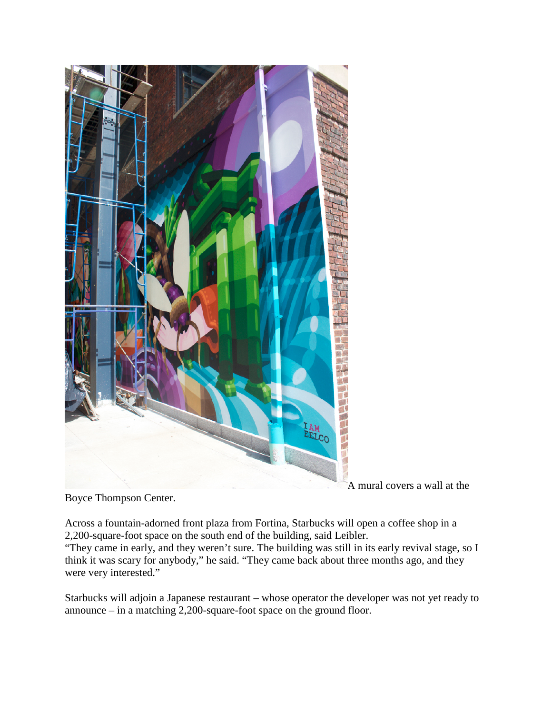

A mural covers a wall at the

Boyce Thompson Center.

Across a fountain-adorned front plaza from Fortina, Starbucks will open a coffee shop in a 2,200-square-foot space on the south end of the building, said Leibler.

"They came in early, and they weren't sure. The building was still in its early revival stage, so I think it was scary for anybody," he said. "They came back about three months ago, and they were very interested."

Starbucks will adjoin a Japanese restaurant – whose operator the developer was not yet ready to announce – in a matching 2,200-square-foot space on the ground floor.